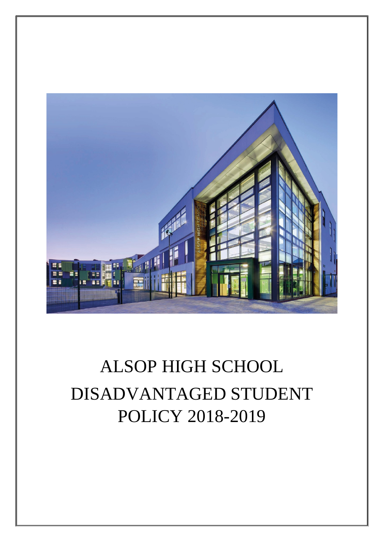

# ALSOP HIGH SCHOOL DISADVANTAGED STUDENT POLICY 2018-2019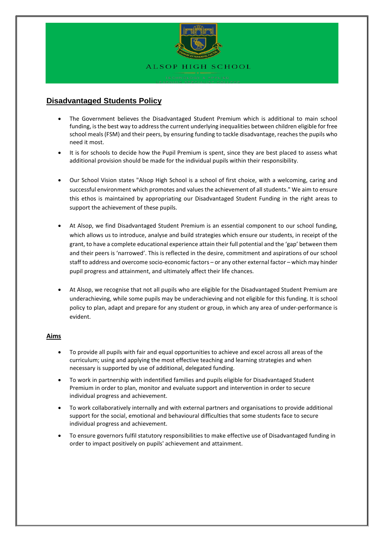

# **Disadvantaged Students Policy**

- The Government believes the Disadvantaged Student Premium which is additional to main school funding, is the best way to address the current underlying inequalities between children eligible for free school meals (FSM) and their peers, by ensuring funding to tackle disadvantage, reaches the pupils who need it most.
- It is for schools to decide how the Pupil Premium is spent, since they are best placed to assess what additional provision should be made for the individual pupils within their responsibility.
- Our School Vision states "Alsop High School is a school of first choice, with a welcoming, caring and successful environment which promotes and values the achievement of all students." We aim to ensure this ethos is maintained by appropriating our Disadvantaged Student Funding in the right areas to support the achievement of these pupils.
- At Alsop, we find Disadvantaged Student Premium is an essential component to our school funding, which allows us to introduce, analyse and build strategies which ensure our students, in receipt of the grant, to have a complete educational experience attain their full potential and the 'gap' between them and their peers is 'narrowed'. This is reflected in the desire, commitment and aspirations of our school staff to address and overcome socio-economic factors – or any other external factor – which may hinder pupil progress and attainment, and ultimately affect their life chances.
- At Alsop, we recognise that not all pupils who are eligible for the Disadvantaged Student Premium are underachieving, while some pupils may be underachieving and not eligible for this funding. It is school policy to plan, adapt and prepare for any student or group, in which any area of under-performance is evident.

# **Aims**

- To provide all pupils with fair and equal opportunities to achieve and excel across all areas of the curriculum; using and applying the most effective teaching and learning strategies and when necessary is supported by use of additional, delegated funding.
- To work in partnership with indentified families and pupils eligible for Disadvantaged Student Premium in order to plan, monitor and evaluate support and intervention in order to secure individual progress and achievement.
- To work collaboratively internally and with external partners and organisations to provide additional support for the social, emotional and behavioural difficulties that some students face to secure individual progress and achievement.
- To ensure governors fulfil statutory responsibilities to make effective use of Disadvantaged funding in order to impact positively on pupils' achievement and attainment.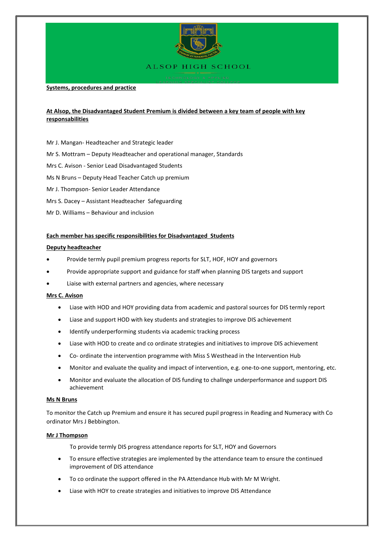

**Systems, procedures and practice**

# **At Alsop, the Disadvantaged Student Premium is divided between a key team of people with key responsabilities**

- Mr J. Mangan- Headteacher and Strategic leader
- Mr S. Mottram Deputy Headteacher and operational manager, Standards
- Mrs C. Avison Senior Lead Disadvantaged Students
- Ms N Bruns Deputy Head Teacher Catch up premium
- Mr J. Thompson- Senior Leader Attendance
- Mrs S. Dacey Assistant Headteacher Safeguarding
- Mr D. Williams Behaviour and inclusion

#### **Each member has specific responsibilities for Disadvantaged Students**

#### **Deputy headteacher**

- Provide termly pupil premium progress reports for SLT, HOF, HOY and governors
- Provide appropriate support and guidance for staff when planning DIS targets and support
- Liaise with external partners and agencies, where necessary

#### **Mrs C. Avison**

- Liase with HOD and HOY providing data from academic and pastoral sources for DIS termly report
- Liase and support HOD with key students and strategies to improve DIS achievement
- Identify underperforming students via academic tracking process
- Liase with HOD to create and co ordinate strategies and initiatives to improve DIS achievement
- Co- ordinate the intervention programme with Miss S Westhead in the Intervention Hub
- Monitor and evaluate the quality and impact of intervention, e.g. one-to-one support, mentoring, etc.
- Monitor and evaluate the allocation of DIS funding to challnge underperformance and support DIS achievement

#### **Ms N Bruns**

To monitor the Catch up Premium and ensure it has secured pupil progress in Reading and Numeracy with Co ordinator Mrs J Bebbington.

#### **Mr J Thompson**

To provide termly DIS progress attendance reports for SLT, HOY and Governors

- To ensure effective strategies are implemented by the attendance team to ensure the continued improvement of DIS attendance
- To co ordinate the support offered in the PA Attendance Hub with Mr M Wright.
- Liase with HOY to create strategies and initiatives to improve DIS Attendance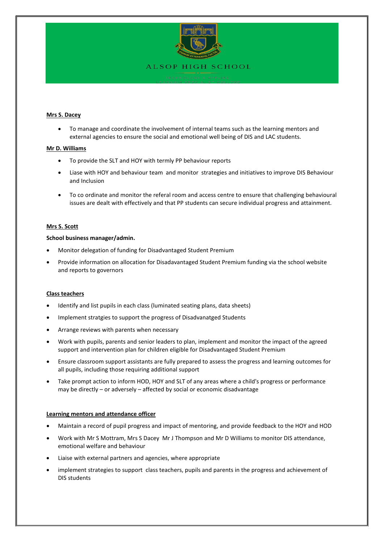

# **Mrs S. Dacey**

• To manage and coordinate the involvement of internal teams such as the learning mentors and external agencies to ensure the social and emotional well being of DIS and LAC students.

#### **Mr D. Williams**

- To provide the SLT and HOY with termly PP behaviour reports
- Liase with HOY and behaviour team and monitor strategies and initiatives to improve DIS Behaviour and Inclusion
- To co ordinate and monitor the referal room and access centre to ensure that challenging behavioural issues are dealt with effectively and that PP students can secure individual progress and attainment.

#### **Mrs S. Scott**

#### **School business manager/admin.**

- Monitor delegation of funding for Disadvantaged Student Premium
- Provide information on allocation for Disadavantaged Student Premium funding via the school website and reports to governors

#### **Class teachers**

- Identify and list pupils in each class (luminated seating plans, data sheets)
- Implement stratgies to support the progress of Disadvanatged Students
- Arrange reviews with parents when necessary
- Work with pupils, parents and senior leaders to plan, implement and monitor the impact of the agreed support and intervention plan for children eligible for Disadvantaged Student Premium
- Ensure classroom support assistants are fully prepared to assess the progress and learning outcomes for all pupils, including those requiring additional support
- Take prompt action to inform HOD, HOY and SLT of any areas where a child's progress or performance may be directly – or adversely – affected by social or economic disadvantage

# **Learning mentors and attendance officer**

- Maintain a record of pupil progress and impact of mentoring, and provide feedback to the HOY and HOD
- Work with Mr S Mottram, Mrs S Dacey Mr J Thompson and Mr D Williams to monitor DIS attendance, emotional welfare and behaviour
- Liaise with external partners and agencies, where appropriate
- implement strategies to support class teachers, pupils and parents in the progress and achievement of DIS students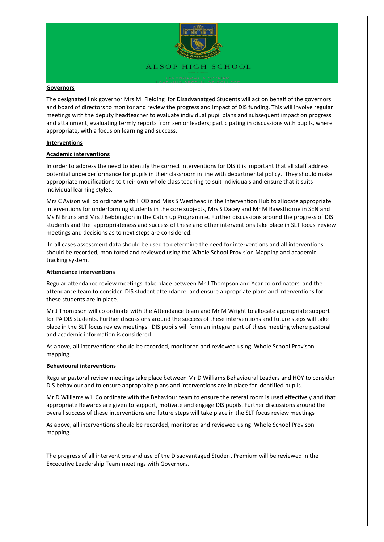

#### **Governors**

The designated link governor Mrs M. Fielding for Disadvanatged Students will act on behalf of the governors and board of directors to monitor and review the progress and impact of DIS funding. This will involve regular meetings with the deputy headteacher to evaluate individual pupil plans and subsequent impact on progress and attainment; evaluating termly reports from senior leaders; participating in discussions with pupils, where appropriate, with a focus on learning and success.

#### **Interventions**

# **Academic interventions**

In order to address the need to identify the correct interventions for DIS it is important that all staff address potential underperformance for pupils in their classroom in line with departmental policy. They should make appropriate modifications to their own whole class teaching to suit individuals and ensure that it suits individual learning styles.

Mrs C Avison will co ordinate with HOD and Miss S Westhead in the Intervention Hub to allocate appropriate interventions for underforming students in the core subjects, Mrs S Dacey and Mr M Rawsthorne in SEN and Ms N Bruns and Mrs J Bebbington in the Catch up Programme. Further discussions around the progress of DIS students and the appropriateness and success of these and other interventions take place in SLT focus review meetings and decisions as to next steps are considered.

In all cases assessment data should be used to determine the need for interventions and all interventions should be recorded, monitored and reviewed using the Whole School Provision Mapping and academic tracking system.

#### **Attendance interventions**

Regular attendance review meetings take place between Mr J Thompson and Year co ordinators and the attendance team to consider DIS student attendance and ensure appropriate plans and interventions for these students are in place.

Mr J Thompson will co ordinate with the Attendance team and Mr M Wright to allocate appropriate support for PA DIS students. Further discussions around the success of these interventions and future steps will take place in the SLT focus review meetings DIS pupils will form an integral part of these meeting where pastoral and academic information is considered.

As above, all interventions should be recorded, monitored and reviewed using Whole School Provison mapping.

#### **Behavioural interventions**

Regular pastoral review meetings take place between Mr D Williams Behavioural Leaders and HOY to consider DIS behaviour and to ensure appropraite plans and interventions are in place for identified pupils.

Mr D Williams will Co ordinate with the Behaviour team to ensure the referal room is used effectively and that appropriate Rewards are given to support, motivate and engage DIS pupils. Further discussions around the overall success of these interventions and future steps will take place in the SLT focus review meetings

As above, all interventions should be recorded, monitored and reviewed using Whole School Provison mapping.

The progress of all interventions and use of the Disadvantaged Student Premium will be reviewed in the Excecutive Leadership Team meetings with Governors.